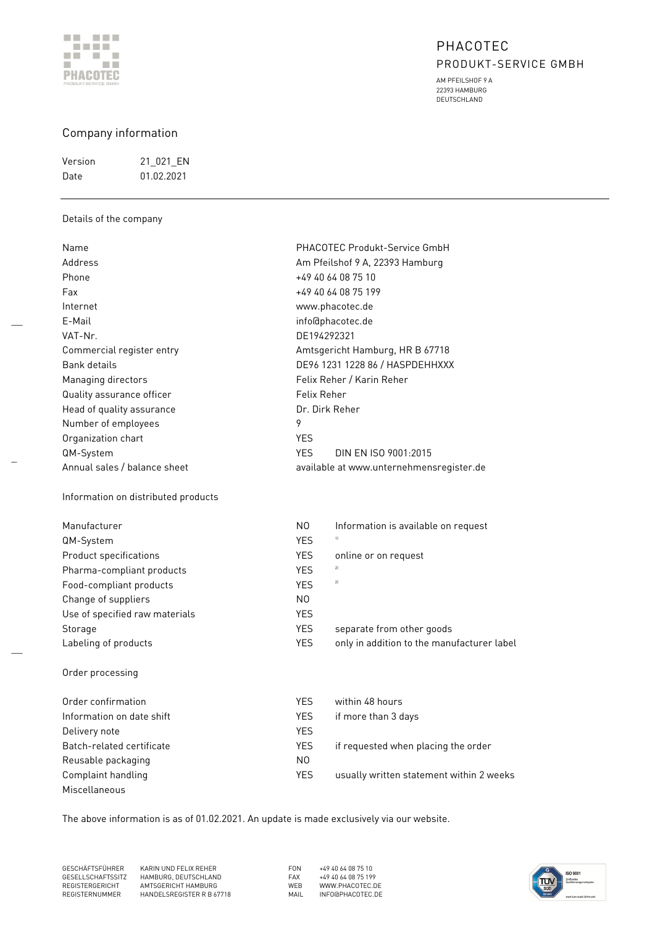

AM PFEILSHOF 9 A 22393 HAMBURG DEUTSCHLAND

## Company information

| Version | 21 021 EN  |
|---------|------------|
| Date    | 01 02 2021 |

## Details of the company

 $\overline{\phantom{a}}$ 

\_

 $\overline{\phantom{a}}$ 

| Name                                | PHACOTEC Produkt-Service GmbH                            |
|-------------------------------------|----------------------------------------------------------|
| Address                             | Am Pfeilshof 9 A, 22393 Hamburg                          |
| Phone                               | +49 40 64 08 75 10                                       |
| Fax                                 | +49 40 64 08 75 199                                      |
| Internet                            | www.phacotec.de                                          |
| E-Mail                              | info@phacotec.de                                         |
| VAT-Nr.                             | DE194292321                                              |
| Commercial register entry           | Amtsgericht Hamburg, HR B 67718                          |
| Bank details                        | DE96 1231 1228 86 / HASPDEHHXXX                          |
| Managing directors                  | Felix Reher / Karin Reher                                |
| Quality assurance officer           | Felix Reher                                              |
| Head of quality assurance           | Dr. Dirk Reher                                           |
| Number of employees                 | 9                                                        |
| Organization chart                  | <b>YES</b>                                               |
| QM-System                           | <b>YFS</b><br>DIN FN ISO 9001-2015                       |
| Annual sales / balance sheet        | available at www.unternehmensregister.de                 |
| Information on distributed products |                                                          |
|                                     |                                                          |
| Manufacturer                        | N <sub>0</sub><br>Information is available on request    |
| QM-System                           | 1<br><b>YES</b>                                          |
| <b>Product specifications</b>       | <b>YES</b><br>online or on request                       |
| Pharma-compliant products           | 2]<br><b>YES</b>                                         |
| Food-compliant products             | 2)<br><b>YES</b>                                         |
| Change of suppliers                 | N0                                                       |
| Use of specified raw materials      | <b>YES</b>                                               |
| Storage                             | <b>YES</b><br>separate from other goods                  |
| Labeling of products                | <b>YES</b><br>only in addition to the manufacturer label |
| Order processing                    |                                                          |
| Order confirmation                  | <b>YES</b><br>within 48 hours                            |
| Information on date shift           | <b>YES</b><br>if more than 3 days                        |
| Delivery note                       | <b>YES</b>                                               |
| Batch-related certificate           | <b>YES</b><br>if requested when placing the order        |
| Reusable packaging                  | N0                                                       |
| Complaint handling                  | <b>YES</b><br>usually written statement within 2 weeks   |
| Miscellaneous                       |                                                          |

The above information is as of 01.02.2021. An update is made exclusively via our website.

GESCHÄFTSFÜHRER KARIN UND FELIX REHER FON +49 40 64 08 75 10 GESELLSCHAFTSSITZ HAMBURG, DEUTSCHLAND FAX +49 40 64 08 75 199 REGISTERGERICHT AMTSGERICHT HAMBURG WEB WWW.PHACOTEC.DE REGISTERNUMMER HANDELSREGISTER R B 67718 MAIL INFO@PHACOTEC.DE